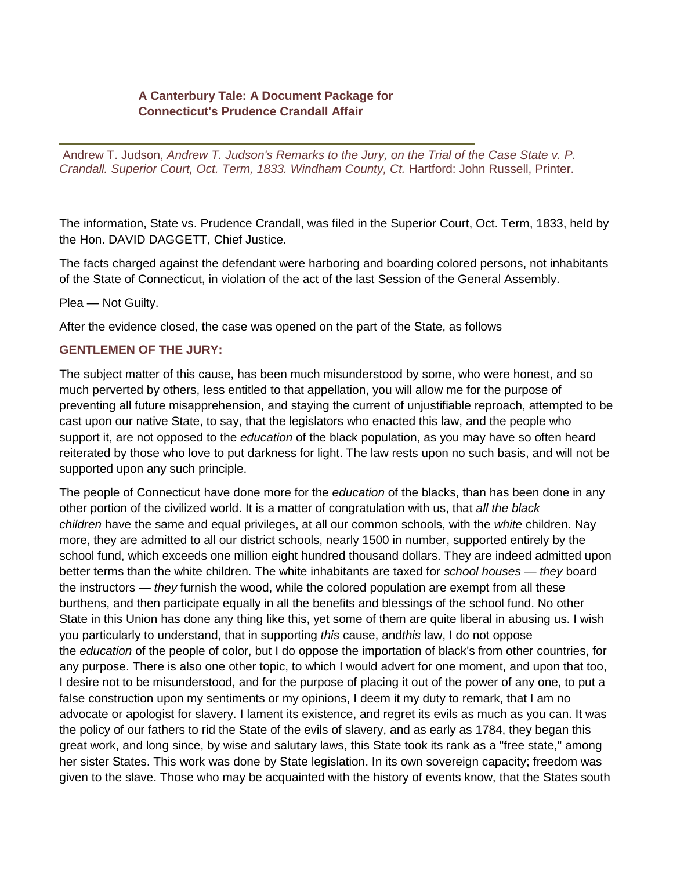## **A Canterbury Tale: A Document Package for Connecticut's Prudence Crandall Affair**

Andrew T. Judson, *Andrew T. Judson's Remarks to the Jury, on the Trial of the Case State v. P. Crandall. Superior Court, Oct. Term, 1833. Windham County, Ct.* Hartford: John Russell, Printer.

The information, State vs. Prudence Crandall, was filed in the Superior Court, Oct. Term, 1833, held by the Hon. DAVID DAGGETT, Chief Justice.

The facts charged against the defendant were harboring and boarding colored persons, not inhabitants of the State of Connecticut, in violation of the act of the last Session of the General Assembly.

Plea — Not Guilty.

After the evidence closed, the case was opened on the part of the State, as follows

## **GENTLEMEN OF THE JURY:**

The subject matter of this cause, has been much misunderstood by some, who were honest, and so much perverted by others, less entitled to that appellation, you will allow me for the purpose of preventing all future misapprehension, and staying the current of unjustifiable reproach, attempted to be cast upon our native State, to say, that the legislators who enacted this law, and the people who support it, are not opposed to the *education* of the black population, as you may have so often heard reiterated by those who love to put darkness for light. The law rests upon no such basis, and will not be supported upon any such principle.

The people of Connecticut have done more for the *education* of the blacks, than has been done in any other portion of the civilized world. It is a matter of congratulation with us, that *all the black children* have the same and equal privileges, at all our common schools, with the *white* children. Nay more, they are admitted to all our district schools, nearly 1500 in number, supported entirely by the school fund, which exceeds one million eight hundred thousand dollars. They are indeed admitted upon better terms than the white children. The white inhabitants are taxed for *school houses* — *they* board the instructors — *they* furnish the wood, while the colored population are exempt from all these burthens, and then participate equally in all the benefits and blessings of the school fund. No other State in this Union has done any thing like this, yet some of them are quite liberal in abusing us. I wish you particularly to understand, that in supporting *this* cause, and*this* law, I do not oppose the *education* of the people of color, but I do oppose the importation of black's from other countries, for any purpose. There is also one other topic, to which I would advert for one moment, and upon that too, I desire not to be misunderstood, and for the purpose of placing it out of the power of any one, to put a false construction upon my sentiments or my opinions, I deem it my duty to remark, that I am no advocate or apologist for slavery. I lament its existence, and regret its evils as much as you can. It was the policy of our fathers to rid the State of the evils of slavery, and as early as 1784, they began this great work, and long since, by wise and salutary laws, this State took its rank as a "free state," among her sister States. This work was done by State legislation. In its own sovereign capacity; freedom was given to the slave. Those who may be acquainted with the history of events know, that the States south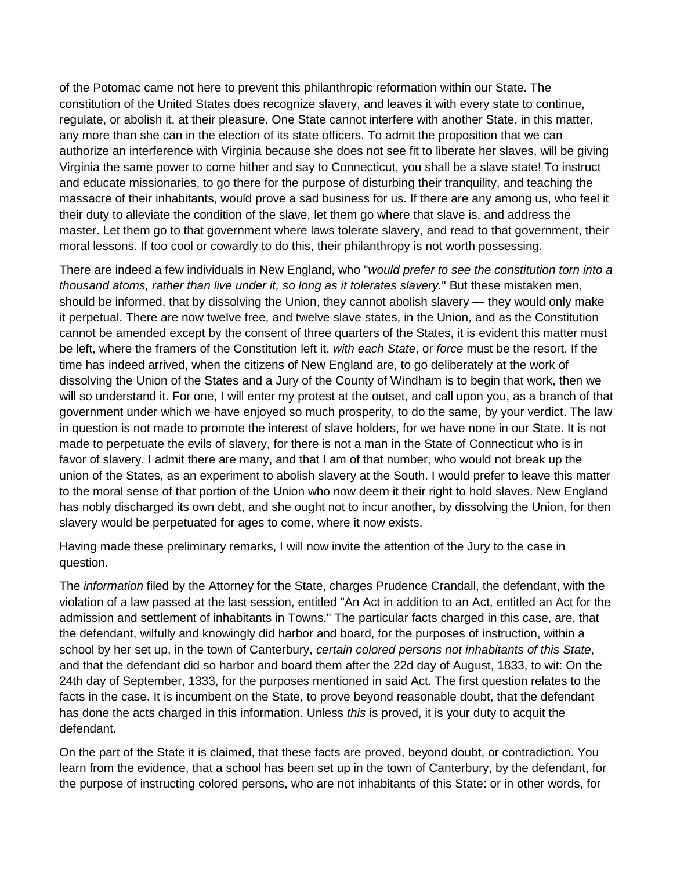of the Potomac came not here to prevent this philanthropic reformation within our State. The constitution of the United States does recognize slavery, and leaves it with every state to continue, regulate, or abolish it, at their pleasure. One State cannot interfere with another State, in this matter, any more than she can in the election of its state officers. To admit the proposition that we can authorize an interference with Virginia because she does not see fit to liberate her slaves, will be giving Virginia the same power to come hither and say to Connecticut, you shall be a slave state! To instruct and educate missionaries, to go there for the purpose of disturbing their tranquility, and teaching the massacre of their inhabitants, would prove a sad business for us. If there are any among us, who feel it their duty to alleviate the condition of the slave, let them go where that slave is, and address the master. Let them go to that government where laws tolerate slavery, and read to that government, their moral lessons. If too cool or cowardly to do this, their philanthropy is not worth possessing.

There are indeed a few individuals in New England, who "*would prefer to see the constitution torn into a thousand atoms, rather than live under it, so long as it tolerates slavery.*" But these mistaken men, should be informed, that by dissolving the Union, they cannot abolish slavery — they would only make it perpetual. There are now twelve free, and twelve slave states, in the Union, and as the Constitution cannot be amended except by the consent of three quarters of the States, it is evident this matter must be left, where the framers of the Constitution left it, *with each State*, or *force* must be the resort. If the time has indeed arrived, when the citizens of New England are, to go deliberately at the work of dissolving the Union of the States and a Jury of the County of Windham is to begin that work, then we will so understand it. For one, I will enter my protest at the outset, and call upon you, as a branch of that government under which we have enjoyed so much prosperity, to do the same, by your verdict. The law in question is not made to promote the interest of slave holders, for we have none in our State. It is not made to perpetuate the evils of slavery, for there is not a man in the State of Connecticut who is in favor of slavery. I admit there are many, and that I am of that number, who would not break up the union of the States, as an experiment to abolish slavery at the South. I would prefer to leave this matter to the moral sense of that portion of the Union who now deem it their right to hold slaves. New England has nobly discharged its own debt, and she ought not to incur another, by dissolving the Union, for then slavery would be perpetuated for ages to come, where it now exists.

Having made these preliminary remarks, I will now invite the attention of the Jury to the case in question.

The *information* filed by the Attorney for the State, charges Prudence Crandall, the defendant, with the violation of a law passed at the last session, entitled "An Act in addition to an Act, entitled an Act for the admission and settlement of inhabitants in Towns." The particular facts charged in this case, are, that the defendant, wilfully and knowingly did harbor and board, for the purposes of instruction, within a school by her set up, in the town of Canterbury, *certain colored persons not inhabitants of this State*, and that the defendant did so harbor and board them after the 22d day of August, 1833, to wit: On the 24th day of September, 1333, for the purposes mentioned in said Act. The first question relates to the facts in the case. It is incumbent on the State, to prove beyond reasonable doubt, that the defendant has done the acts charged in this information. Unless *this* is proved, it is your duty to acquit the defendant.

On the part of the State it is claimed, that these facts are proved, beyond doubt, or contradiction. You learn from the evidence, that a school has been set up in the town of Canterbury, by the defendant, for the purpose of instructing colored persons, who are not inhabitants of this State: or in other words, for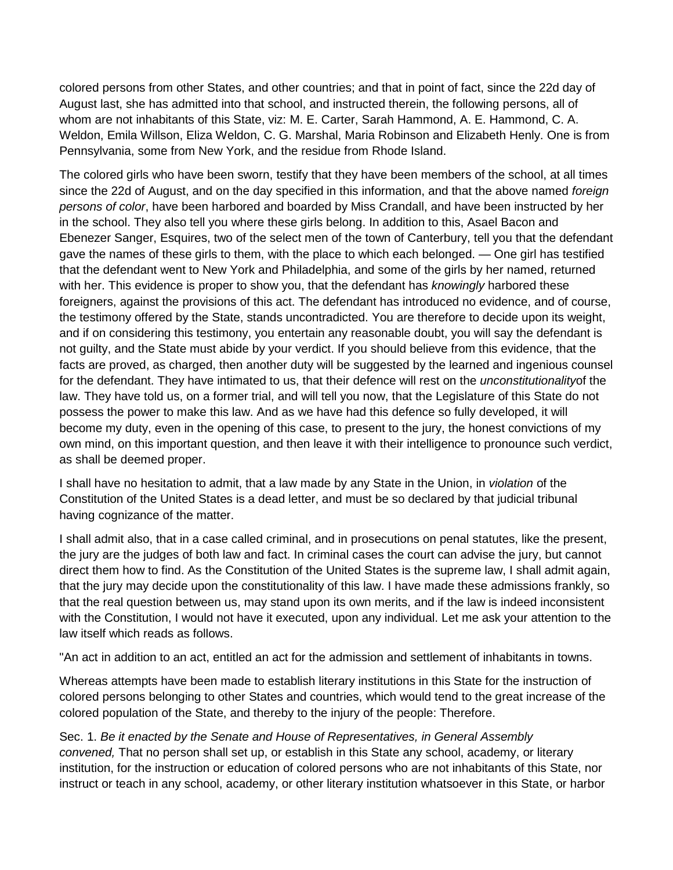colored persons from other States, and other countries; and that in point of fact, since the 22d day of August last, she has admitted into that school, and instructed therein, the following persons, all of whom are not inhabitants of this State, viz: M. E. Carter, Sarah Hammond, A. E. Hammond, C. A. Weldon, Emila Willson, Eliza Weldon, C. G. Marshal, Maria Robinson and Elizabeth Henly. One is from Pennsylvania, some from New York, and the residue from Rhode Island.

The colored girls who have been sworn, testify that they have been members of the school, at all times since the 22d of August, and on the day specified in this information, and that the above named *foreign persons of color*, have been harbored and boarded by Miss Crandall, and have been instructed by her in the school. They also tell you where these girls belong. In addition to this, Asael Bacon and Ebenezer Sanger, Esquires, two of the select men of the town of Canterbury, tell you that the defendant gave the names of these girls to them, with the place to which each belonged. — One girl has testified that the defendant went to New York and Philadelphia, and some of the girls by her named, returned with her. This evidence is proper to show you, that the defendant has *knowingly* harbored these foreigners, against the provisions of this act. The defendant has introduced no evidence, and of course, the testimony offered by the State, stands uncontradicted. You are therefore to decide upon its weight, and if on considering this testimony, you entertain any reasonable doubt, you will say the defendant is not guilty, and the State must abide by your verdict. If you should believe from this evidence, that the facts are proved, as charged, then another duty will be suggested by the learned and ingenious counsel for the defendant. They have intimated to us, that their defence will rest on the *unconstitutionality*of the law. They have told us, on a former trial, and will tell you now, that the Legislature of this State do not possess the power to make this law. And as we have had this defence so fully developed, it will become my duty, even in the opening of this case, to present to the jury, the honest convictions of my own mind, on this important question, and then leave it with their intelligence to pronounce such verdict, as shall be deemed proper.

I shall have no hesitation to admit, that a law made by any State in the Union, in *violation* of the Constitution of the United States is a dead letter, and must be so declared by that judicial tribunal having cognizance of the matter.

I shall admit also, that in a case called criminal, and in prosecutions on penal statutes, like the present, the jury are the judges of both law and fact. In criminal cases the court can advise the jury, but cannot direct them how to find. As the Constitution of the United States is the supreme law, I shall admit again, that the jury may decide upon the constitutionality of this law. I have made these admissions frankly, so that the real question between us, may stand upon its own merits, and if the law is indeed inconsistent with the Constitution, I would not have it executed, upon any individual. Let me ask your attention to the law itself which reads as follows.

"An act in addition to an act, entitled an act for the admission and settlement of inhabitants in towns.

Whereas attempts have been made to establish literary institutions in this State for the instruction of colored persons belonging to other States and countries, which would tend to the great increase of the colored population of the State, and thereby to the injury of the people: Therefore.

Sec. 1. *Be it enacted by the Senate and House of Representatives, in General Assembly convened,* That no person shall set up, or establish in this State any school, academy, or literary institution, for the instruction or education of colored persons who are not inhabitants of this State, nor instruct or teach in any school, academy, or other literary institution whatsoever in this State, or harbor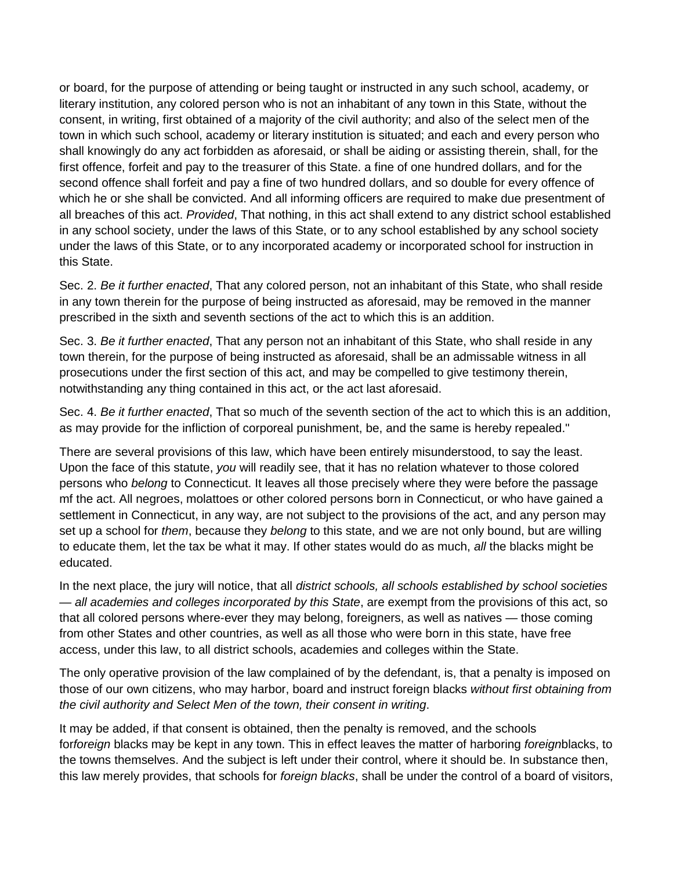or board, for the purpose of attending or being taught or instructed in any such school, academy, or literary institution, any colored person who is not an inhabitant of any town in this State, without the consent, in writing, first obtained of a majority of the civil authority; and also of the select men of the town in which such school, academy or literary institution is situated; and each and every person who shall knowingly do any act forbidden as aforesaid, or shall be aiding or assisting therein, shall, for the first offence, forfeit and pay to the treasurer of this State. a fine of one hundred dollars, and for the second offence shall forfeit and pay a fine of two hundred dollars, and so double for every offence of which he or she shall be convicted. And all informing officers are required to make due presentment of all breaches of this act. *Provided*, That nothing, in this act shall extend to any district school established in any school society, under the laws of this State, or to any school established by any school society under the laws of this State, or to any incorporated academy or incorporated school for instruction in this State.

Sec. 2. *Be it further enacted*, That any colored person, not an inhabitant of this State, who shall reside in any town therein for the purpose of being instructed as aforesaid, may be removed in the manner prescribed in the sixth and seventh sections of the act to which this is an addition.

Sec. 3. *Be it further enacted*, That any person not an inhabitant of this State, who shall reside in any town therein, for the purpose of being instructed as aforesaid, shall be an admissable witness in all prosecutions under the first section of this act, and may be compelled to give testimony therein, notwithstanding any thing contained in this act, or the act last aforesaid.

Sec. 4. *Be it further enacted*, That so much of the seventh section of the act to which this is an addition, as may provide for the infliction of corporeal punishment, be, and the same is hereby repealed."

There are several provisions of this law, which have been entirely misunderstood, to say the least. Upon the face of this statute, *you* will readily see, that it has no relation whatever to those colored persons who *belong* to Connecticut. It leaves all those precisely where they were before the passage mf the act. All negroes, molattoes or other colored persons born in Connecticut, or who have gained a settlement in Connecticut, in any way, are not subject to the provisions of the act, and any person may set up a school for *them*, because they *belong* to this state, and we are not only bound, but are willing to educate them, let the tax be what it may. If other states would do as much, *all* the blacks might be educated.

In the next place, the jury will notice, that all *district schools, all schools established by school societies — all academies and colleges incorporated by this State*, are exempt from the provisions of this act, so that all colored persons where-ever they may belong, foreigners, as well as natives — those coming from other States and other countries, as well as all those who were born in this state, have free access, under this law, to all district schools, academies and colleges within the State.

The only operative provision of the law complained of by the defendant, is, that a penalty is imposed on those of our own citizens, who may harbor, board and instruct foreign blacks *without first obtaining from the civil authority and Select Men of the town, their consent in writing*.

It may be added, if that consent is obtained, then the penalty is removed, and the schools for*foreign* blacks may be kept in any town. This in effect leaves the matter of harboring *foreign*blacks, to the towns themselves. And the subject is left under their control, where it should be. In substance then, this law merely provides, that schools for *foreign blacks*, shall be under the control of a board of visitors,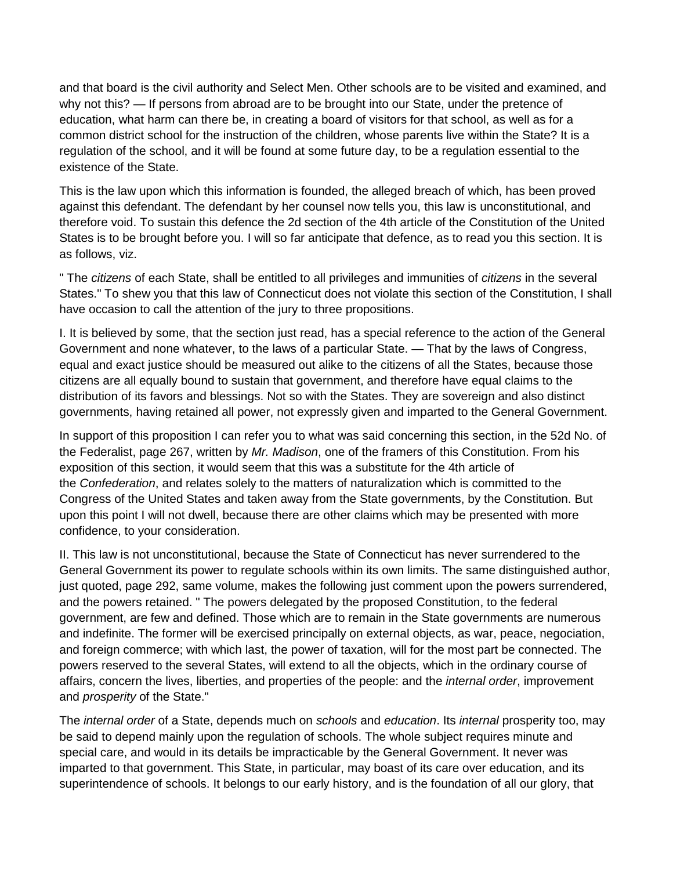and that board is the civil authority and Select Men. Other schools are to be visited and examined, and why not this? — If persons from abroad are to be brought into our State, under the pretence of education, what harm can there be, in creating a board of visitors for that school, as well as for a common district school for the instruction of the children, whose parents live within the State? It is a regulation of the school, and it will be found at some future day, to be a regulation essential to the existence of the State.

This is the law upon which this information is founded, the alleged breach of which, has been proved against this defendant. The defendant by her counsel now tells you, this law is unconstitutional, and therefore void. To sustain this defence the 2d section of the 4th article of the Constitution of the United States is to be brought before you. I will so far anticipate that defence, as to read you this section. It is as follows, viz.

" The *citizens* of each State, shall be entitled to all privileges and immunities of *citizens* in the several States." To shew you that this law of Connecticut does not violate this section of the Constitution, I shall have occasion to call the attention of the jury to three propositions.

I. It is believed by some, that the section just read, has a special reference to the action of the General Government and none whatever, to the laws of a particular State. — That by the laws of Congress, equal and exact justice should be measured out alike to the citizens of all the States, because those citizens are all equally bound to sustain that government, and therefore have equal claims to the distribution of its favors and blessings. Not so with the States. They are sovereign and also distinct governments, having retained all power, not expressly given and imparted to the General Government.

In support of this proposition I can refer you to what was said concerning this section, in the 52d No. of the Federalist, page 267, written by *Mr. Madison*, one of the framers of this Constitution. From his exposition of this section, it would seem that this was a substitute for the 4th article of the *Confederation*, and relates solely to the matters of naturalization which is committed to the Congress of the United States and taken away from the State governments, by the Constitution. But upon this point I will not dwell, because there are other claims which may be presented with more confidence, to your consideration.

II. This law is not unconstitutional, because the State of Connecticut has never surrendered to the General Government its power to regulate schools within its own limits. The same distinguished author, just quoted, page 292, same volume, makes the following just comment upon the powers surrendered, and the powers retained. " The powers delegated by the proposed Constitution, to the federal government, are few and defined. Those which are to remain in the State governments are numerous and indefinite. The former will be exercised principally on external objects, as war, peace, negociation, and foreign commerce; with which last, the power of taxation, will for the most part be connected. The powers reserved to the several States, will extend to all the objects, which in the ordinary course of affairs, concern the lives, liberties, and properties of the people: and the *internal order*, improvement and *prosperity* of the State."

The *internal order* of a State, depends much on *schools* and *education*. Its *internal* prosperity too, may be said to depend mainly upon the regulation of schools. The whole subject requires minute and special care, and would in its details be impracticable by the General Government. It never was imparted to that government. This State, in particular, may boast of its care over education, and its superintendence of schools. It belongs to our early history, and is the foundation of all our glory, that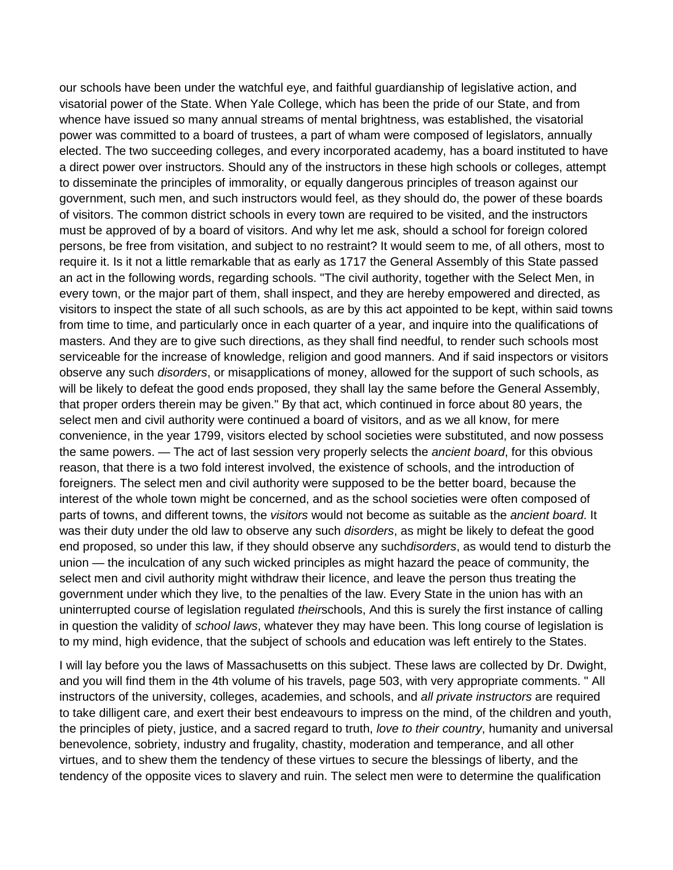our schools have been under the watchful eye, and faithful guardianship of legislative action, and visatorial power of the State. When Yale College, which has been the pride of our State, and from whence have issued so many annual streams of mental brightness, was established, the visatorial power was committed to a board of trustees, a part of wham were composed of legislators, annually elected. The two succeeding colleges, and every incorporated academy, has a board instituted to have a direct power over instructors. Should any of the instructors in these high schools or colleges, attempt to disseminate the principles of immorality, or equally dangerous principles of treason against our government, such men, and such instructors would feel, as they should do, the power of these boards of visitors. The common district schools in every town are required to be visited, and the instructors must be approved of by a board of visitors. And why let me ask, should a school for foreign colored persons, be free from visitation, and subject to no restraint? It would seem to me, of all others, most to require it. Is it not a little remarkable that as early as 1717 the General Assembly of this State passed an act in the following words, regarding schools. "The civil authority, together with the Select Men, in every town, or the major part of them, shall inspect, and they are hereby empowered and directed, as visitors to inspect the state of all such schools, as are by this act appointed to be kept, within said towns from time to time, and particularly once in each quarter of a year, and inquire into the qualifications of masters. And they are to give such directions, as they shall find needful, to render such schools most serviceable for the increase of knowledge, religion and good manners. And if said inspectors or visitors observe any such *disorders*, or misapplications of money, allowed for the support of such schools, as will be likely to defeat the good ends proposed, they shall lay the same before the General Assembly, that proper orders therein may be given." By that act, which continued in force about 80 years, the select men and civil authority were continued a board of visitors, and as we all know, for mere convenience, in the year 1799, visitors elected by school societies were substituted, and now possess the same powers. — The act of last session very properly selects the *ancient board*, for this obvious reason, that there is a two fold interest involved, the existence of schools, and the introduction of foreigners. The select men and civil authority were supposed to be the better board, because the interest of the whole town might be concerned, and as the school societies were often composed of parts of towns, and different towns, the *visitors* would not become as suitable as the *ancient board*. It was their duty under the old law to observe any such *disorders*, as might be likely to defeat the good end proposed, so under this law, if they should observe any such*disorders*, as would tend to disturb the union — the inculcation of any such wicked principles as might hazard the peace of community, the select men and civil authority might withdraw their licence, and leave the person thus treating the government under which they live, to the penalties of the law. Every State in the union has with an uninterrupted course of legislation regulated *their*schools, And this is surely the first instance of calling in question the validity of *school laws*, whatever they may have been. This long course of legislation is to my mind, high evidence, that the subject of schools and education was left entirely to the States.

I will lay before you the laws of Massachusetts on this subject. These laws are collected by Dr. Dwight, and you will find them in the 4th volume of his travels, page 503, with very appropriate comments. " All instructors of the university, colleges, academies, and schools, and *all private instructors* are required to take dilligent care, and exert their best endeavours to impress on the mind, of the children and youth, the principles of piety, justice, and a sacred regard to truth, *love to their country*, humanity and universal benevolence, sobriety, industry and frugality, chastity, moderation and temperance, and all other virtues, and to shew them the tendency of these virtues to secure the blessings of liberty, and the tendency of the opposite vices to slavery and ruin. The select men were to determine the qualification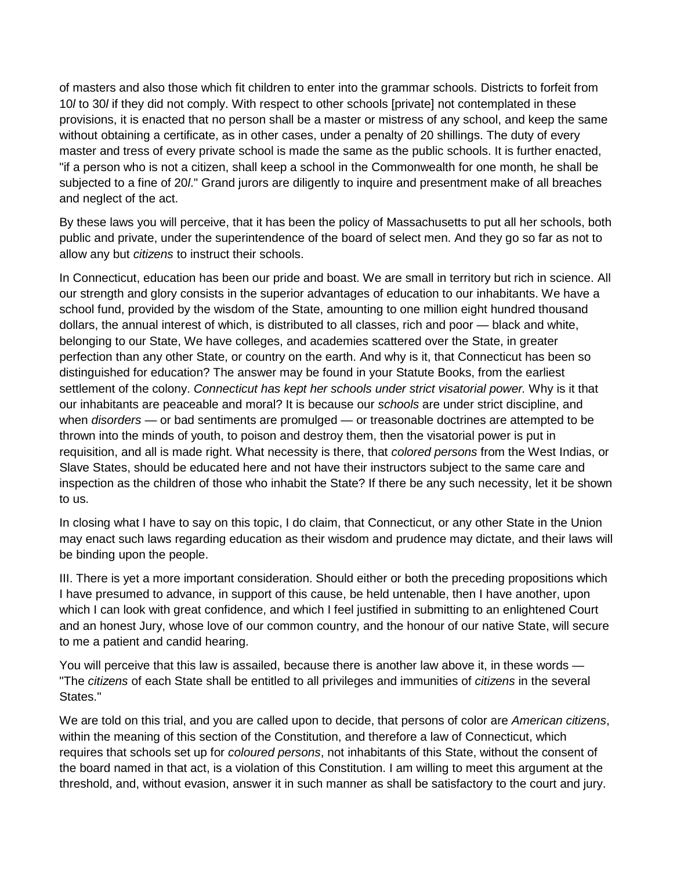of masters and also those which fit children to enter into the grammar schools. Districts to forfeit from 10*l* to 30*l* if they did not comply. With respect to other schools [private] not contemplated in these provisions, it is enacted that no person shall be a master or mistress of any school, and keep the same without obtaining a certificate, as in other cases, under a penalty of 20 shillings. The duty of every master and tress of every private school is made the same as the public schools. It is further enacted, "if a person who is not a citizen, shall keep a school in the Commonwealth for one month, he shall be subjected to a fine of 20*l*." Grand jurors are diligently to inquire and presentment make of all breaches and neglect of the act.

By these laws you will perceive, that it has been the policy of Massachusetts to put all her schools, both public and private, under the superintendence of the board of select men. And they go so far as not to allow any but *citizens* to instruct their schools.

In Connecticut, education has been our pride and boast. We are small in territory but rich in science. All our strength and glory consists in the superior advantages of education to our inhabitants. We have a school fund, provided by the wisdom of the State, amounting to one million eight hundred thousand dollars, the annual interest of which, is distributed to all classes, rich and poor — black and white, belonging to our State, We have colleges, and academies scattered over the State, in greater perfection than any other State, or country on the earth. And why is it, that Connecticut has been so distinguished for education? The answer may be found in your Statute Books, from the earliest settlement of the colony. *Connecticut has kept her schools under strict visatorial power.* Why is it that our inhabitants are peaceable and moral? It is because our *schools* are under strict discipline, and when *disorders* — or bad sentiments are promulged — or treasonable doctrines are attempted to be thrown into the minds of youth, to poison and destroy them, then the visatorial power is put in requisition, and all is made right. What necessity is there, that *colored persons* from the West Indias, or Slave States, should be educated here and not have their instructors subject to the same care and inspection as the children of those who inhabit the State? If there be any such necessity, let it be shown to us.

In closing what I have to say on this topic, I do claim, that Connecticut, or any other State in the Union may enact such laws regarding education as their wisdom and prudence may dictate, and their laws will be binding upon the people.

III. There is yet a more important consideration. Should either or both the preceding propositions which I have presumed to advance, in support of this cause, be held untenable, then I have another, upon which I can look with great confidence, and which I feel justified in submitting to an enlightened Court and an honest Jury, whose love of our common country, and the honour of our native State, will secure to me a patient and candid hearing.

You will perceive that this law is assailed, because there is another law above it, in these words — "The *citizens* of each State shall be entitled to all privileges and immunities of *citizens* in the several States."

We are told on this trial, and you are called upon to decide, that persons of color are *American citizens*, within the meaning of this section of the Constitution, and therefore a law of Connecticut, which requires that schools set up for *coloured persons*, not inhabitants of this State, without the consent of the board named in that act, is a violation of this Constitution. I am willing to meet this argument at the threshold, and, without evasion, answer it in such manner as shall be satisfactory to the court and jury.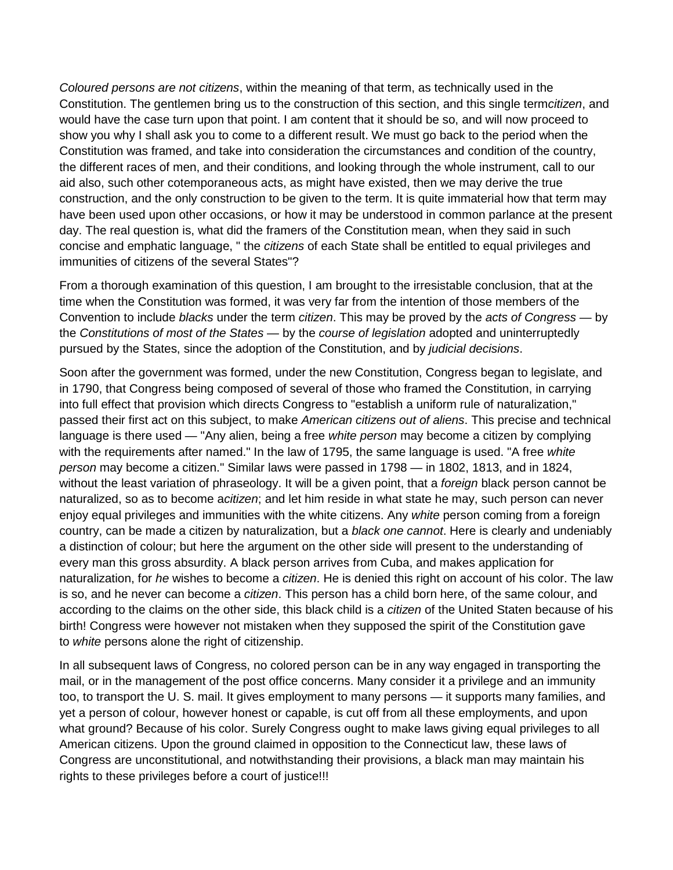*Coloured persons are not citizens*, within the meaning of that term, as technically used in the Constitution. The gentlemen bring us to the construction of this section, and this single term*citizen*, and would have the case turn upon that point. I am content that it should be so, and will now proceed to show you why I shall ask you to come to a different result. We must go back to the period when the Constitution was framed, and take into consideration the circumstances and condition of the country, the different races of men, and their conditions, and looking through the whole instrument, call to our aid also, such other cotemporaneous acts, as might have existed, then we may derive the true construction, and the only construction to be given to the term. It is quite immaterial how that term may have been used upon other occasions, or how it may be understood in common parlance at the present day. The real question is, what did the framers of the Constitution mean, when they said in such concise and emphatic language, " the *citizens* of each State shall be entitled to equal privileges and immunities of citizens of the several States"?

From a thorough examination of this question, I am brought to the irresistable conclusion, that at the time when the Constitution was formed, it was very far from the intention of those members of the Convention to include *blacks* under the term *citizen*. This may be proved by the *acts of Congress* — by the *Constitutions of most of the States* — by the *course of legislation* adopted and uninterruptedly pursued by the States, since the adoption of the Constitution, and by *judicial decisions*.

Soon after the government was formed, under the new Constitution, Congress began to legislate, and in 1790, that Congress being composed of several of those who framed the Constitution, in carrying into full effect that provision which directs Congress to "establish a uniform rule of naturalization," passed their first act on this subject, to make *American citizens out of aliens*. This precise and technical language is there used — "Any alien, being a free *white person* may become a citizen by complying with the requirements after named." In the law of 1795, the same language is used. "A free *white person* may become a citizen." Similar laws were passed in 1798 — in 1802, 1813, and in 1824, without the least variation of phraseology. It will be a given point, that a *foreign* black person cannot be naturalized, so as to become a*citizen*; and let him reside in what state he may, such person can never enjoy equal privileges and immunities with the white citizens. Any *white* person coming from a foreign country, can be made a citizen by naturalization, but a *black one cannot*. Here is clearly and undeniably a distinction of colour; but here the argument on the other side will present to the understanding of every man this gross absurdity. A black person arrives from Cuba, and makes application for naturalization, for *he* wishes to become a *citizen*. He is denied this right on account of his color. The law is so, and he never can become a *citizen*. This person has a child born here, of the same colour, and according to the claims on the other side, this black child is a *citizen* of the United Staten because of his birth! Congress were however not mistaken when they supposed the spirit of the Constitution gave to *white* persons alone the right of citizenship.

In all subsequent laws of Congress, no colored person can be in any way engaged in transporting the mail, or in the management of the post office concerns. Many consider it a privilege and an immunity too, to transport the U. S. mail. It gives employment to many persons — it supports many families, and yet a person of colour, however honest or capable, is cut off from all these employments, and upon what ground? Because of his color. Surely Congress ought to make laws giving equal privileges to all American citizens. Upon the ground claimed in opposition to the Connecticut law, these laws of Congress are unconstitutional, and notwithstanding their provisions, a black man may maintain his rights to these privileges before a court of justice!!!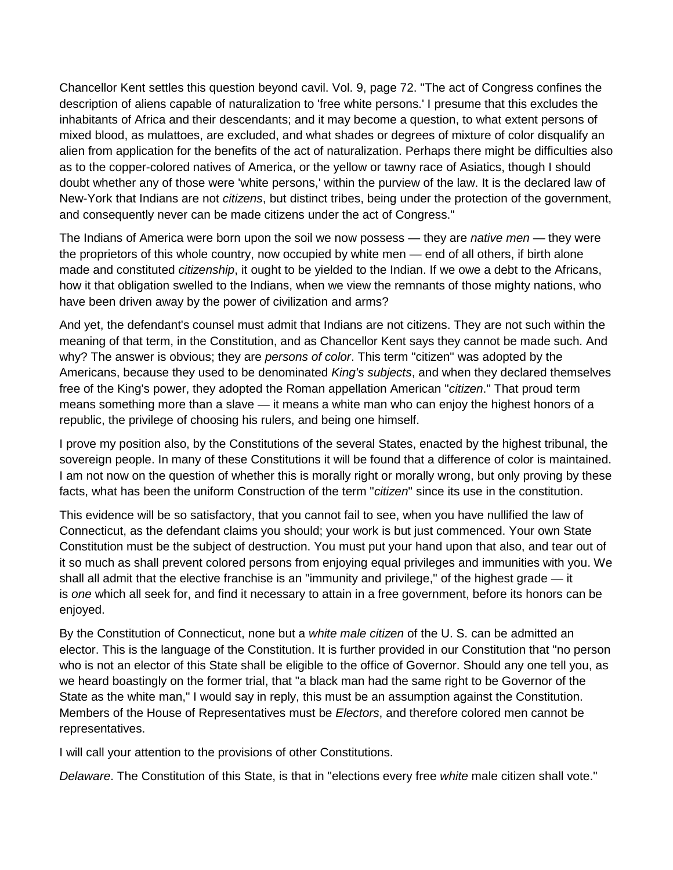Chancellor Kent settles this question beyond cavil. Vol. 9, page 72. "The act of Congress confines the description of aliens capable of naturalization to 'free white persons.' I presume that this excludes the inhabitants of Africa and their descendants; and it may become a question, to what extent persons of mixed blood, as mulattoes, are excluded, and what shades or degrees of mixture of color disqualify an alien from application for the benefits of the act of naturalization. Perhaps there might be difficulties also as to the copper-colored natives of America, or the yellow or tawny race of Asiatics, though I should doubt whether any of those were 'white persons,' within the purview of the law. It is the declared law of New-York that Indians are not *citizens*, but distinct tribes, being under the protection of the government, and consequently never can be made citizens under the act of Congress."

The Indians of America were born upon the soil we now possess — they are *native men* — they were the proprietors of this whole country, now occupied by white men — end of all others, if birth alone made and constituted *citizenship*, it ought to be yielded to the Indian. If we owe a debt to the Africans, how it that obligation swelled to the Indians, when we view the remnants of those mighty nations, who have been driven away by the power of civilization and arms?

And yet, the defendant's counsel must admit that Indians are not citizens. They are not such within the meaning of that term, in the Constitution, and as Chancellor Kent says they cannot be made such. And why? The answer is obvious; they are *persons of color*. This term "citizen" was adopted by the Americans, because they used to be denominated *King's subjects*, and when they declared themselves free of the King's power, they adopted the Roman appellation American "*citizen*." That proud term means something more than a slave — it means a white man who can enjoy the highest honors of a republic, the privilege of choosing his rulers, and being one himself.

I prove my position also, by the Constitutions of the several States, enacted by the highest tribunal, the sovereign people. In many of these Constitutions it will be found that a difference of color is maintained. I am not now on the question of whether this is morally right or morally wrong, but only proving by these facts, what has been the uniform Construction of the term "*citizen*" since its use in the constitution.

This evidence will be so satisfactory, that you cannot fail to see, when you have nullified the law of Connecticut, as the defendant claims you should; your work is but just commenced. Your own State Constitution must be the subject of destruction. You must put your hand upon that also, and tear out of it so much as shall prevent colored persons from enjoying equal privileges and immunities with you. We shall all admit that the elective franchise is an "immunity and privilege," of the highest grade — it is *one* which all seek for, and find it necessary to attain in a free government, before its honors can be enjoyed.

By the Constitution of Connecticut, none but a *white male citizen* of the U. S. can be admitted an elector. This is the language of the Constitution. It is further provided in our Constitution that "no person who is not an elector of this State shall be eligible to the office of Governor. Should any one tell you, as we heard boastingly on the former trial, that "a black man had the same right to be Governor of the State as the white man," I would say in reply, this must be an assumption against the Constitution. Members of the House of Representatives must be *Electors*, and therefore colored men cannot be representatives.

I will call your attention to the provisions of other Constitutions.

*Delaware*. The Constitution of this State, is that in "elections every free *white* male citizen shall vote."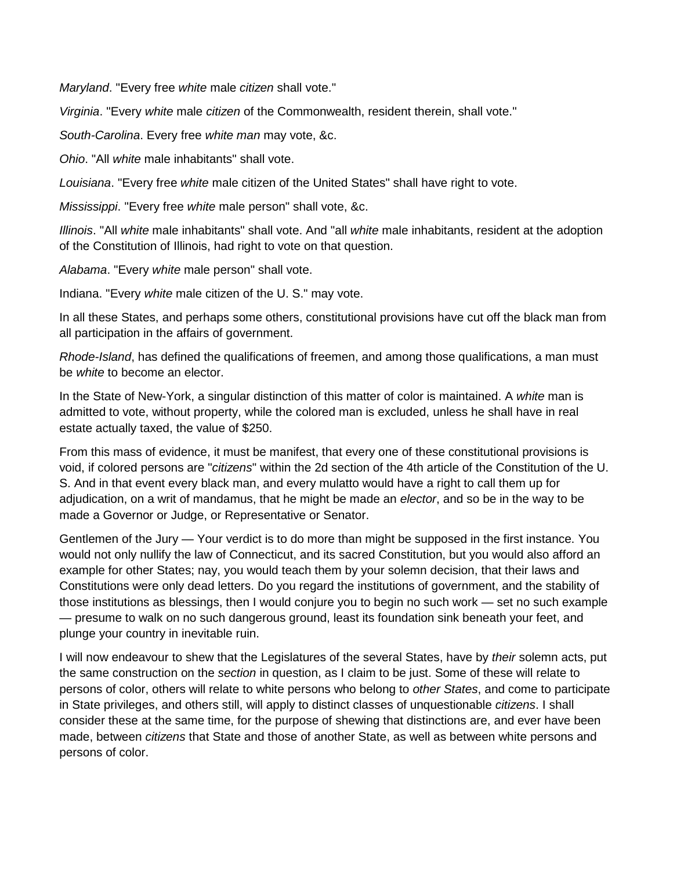*Maryland*. "Every free *white* male *citizen* shall vote."

*Virginia*. "Every *white* male *citizen* of the Commonwealth, resident therein, shall vote."

*South-Carolina*. Every free *white man* may vote, &c.

*Ohio*. "All *white* male inhabitants" shall vote.

*Louisiana*. "Every free *white* male citizen of the United States" shall have right to vote.

*Mississippi*. "Every free *white* male person" shall vote, &c.

*Illinois*. "All *white* male inhabitants" shall vote. And "all *white* male inhabitants, resident at the adoption of the Constitution of Illinois, had right to vote on that question.

*Alabama*. "Every *white* male person" shall vote.

Indiana. "Every *white* male citizen of the U. S." may vote.

In all these States, and perhaps some others, constitutional provisions have cut off the black man from all participation in the affairs of government.

*Rhode-Island*, has defined the qualifications of freemen, and among those qualifications, a man must be *white* to become an elector.

In the State of New-York, a singular distinction of this matter of color is maintained. A *white* man is admitted to vote, without property, while the colored man is excluded, unless he shall have in real estate actually taxed, the value of \$250.

From this mass of evidence, it must be manifest, that every one of these constitutional provisions is void, if colored persons are "*citizens*" within the 2d section of the 4th article of the Constitution of the U. S. And in that event every black man, and every mulatto would have a right to call them up for adjudication, on a writ of mandamus, that he might be made an *elector*, and so be in the way to be made a Governor or Judge, or Representative or Senator.

Gentlemen of the Jury — Your verdict is to do more than might be supposed in the first instance. You would not only nullify the law of Connecticut, and its sacred Constitution, but you would also afford an example for other States; nay, you would teach them by your solemn decision, that their laws and Constitutions were only dead letters. Do you regard the institutions of government, and the stability of those institutions as blessings, then I would conjure you to begin no such work — set no such example — presume to walk on no such dangerous ground, least its foundation sink beneath your feet, and plunge your country in inevitable ruin.

I will now endeavour to shew that the Legislatures of the several States, have by *their* solemn acts, put the same construction on the *section* in question, as I claim to be just. Some of these will relate to persons of color, others will relate to white persons who belong to *other States*, and come to participate in State privileges, and others still, will apply to distinct classes of unquestionable *citizens*. I shall consider these at the same time, for the purpose of shewing that distinctions are, and ever have been made, between *citizens* that State and those of another State, as well as between white persons and persons of color.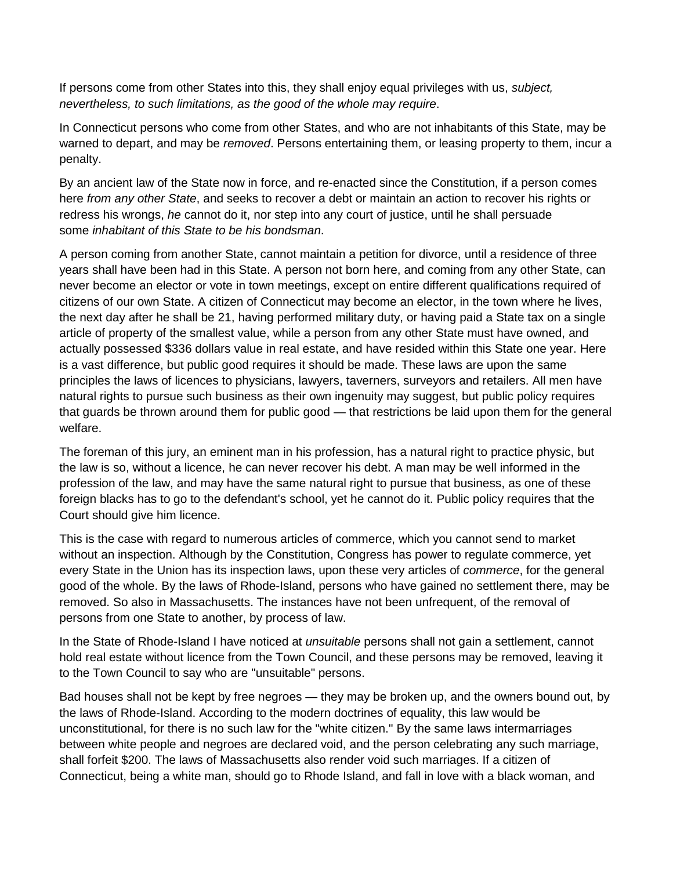If persons come from other States into this, they shall enjoy equal privileges with us, *subject, nevertheless, to such limitations, as the good of the whole may require*.

In Connecticut persons who come from other States, and who are not inhabitants of this State, may be warned to depart, and may be *removed*. Persons entertaining them, or leasing property to them, incur a penalty.

By an ancient law of the State now in force, and re-enacted since the Constitution, if a person comes here *from any other State*, and seeks to recover a debt or maintain an action to recover his rights or redress his wrongs, *he* cannot do it, nor step into any court of justice, until he shall persuade some *inhabitant of this State to be his bondsman*.

A person coming from another State, cannot maintain a petition for divorce, until a residence of three years shall have been had in this State. A person not born here, and coming from any other State, can never become an elector or vote in town meetings, except on entire different qualifications required of citizens of our own State. A citizen of Connecticut may become an elector, in the town where he lives, the next day after he shall be 21, having performed military duty, or having paid a State tax on a single article of property of the smallest value, while a person from any other State must have owned, and actually possessed \$336 dollars value in real estate, and have resided within this State one year. Here is a vast difference, but public good requires it should be made. These laws are upon the same principles the laws of licences to physicians, lawyers, taverners, surveyors and retailers. All men have natural rights to pursue such business as their own ingenuity may suggest, but public policy requires that guards be thrown around them for public good — that restrictions be laid upon them for the general welfare.

The foreman of this jury, an eminent man in his profession, has a natural right to practice physic, but the law is so, without a licence, he can never recover his debt. A man may be well informed in the profession of the law, and may have the same natural right to pursue that business, as one of these foreign blacks has to go to the defendant's school, yet he cannot do it. Public policy requires that the Court should give him licence.

This is the case with regard to numerous articles of commerce, which you cannot send to market without an inspection. Although by the Constitution, Congress has power to regulate commerce, yet every State in the Union has its inspection laws, upon these very articles of *commerce*, for the general good of the whole. By the laws of Rhode-Island, persons who have gained no settlement there, may be removed. So also in Massachusetts. The instances have not been unfrequent, of the removal of persons from one State to another, by process of law.

In the State of Rhode-Island I have noticed at *unsuitable* persons shall not gain a settlement, cannot hold real estate without licence from the Town Council, and these persons may be removed, leaving it to the Town Council to say who are "unsuitable" persons.

Bad houses shall not be kept by free negroes — they may be broken up, and the owners bound out, by the laws of Rhode-Island. According to the modern doctrines of equality, this law would be unconstitutional, for there is no such law for the "white citizen." By the same laws intermarriages between white people and negroes are declared void, and the person celebrating any such marriage, shall forfeit \$200. The laws of Massachusetts also render void such marriages. If a citizen of Connecticut, being a white man, should go to Rhode Island, and fall in love with a black woman, and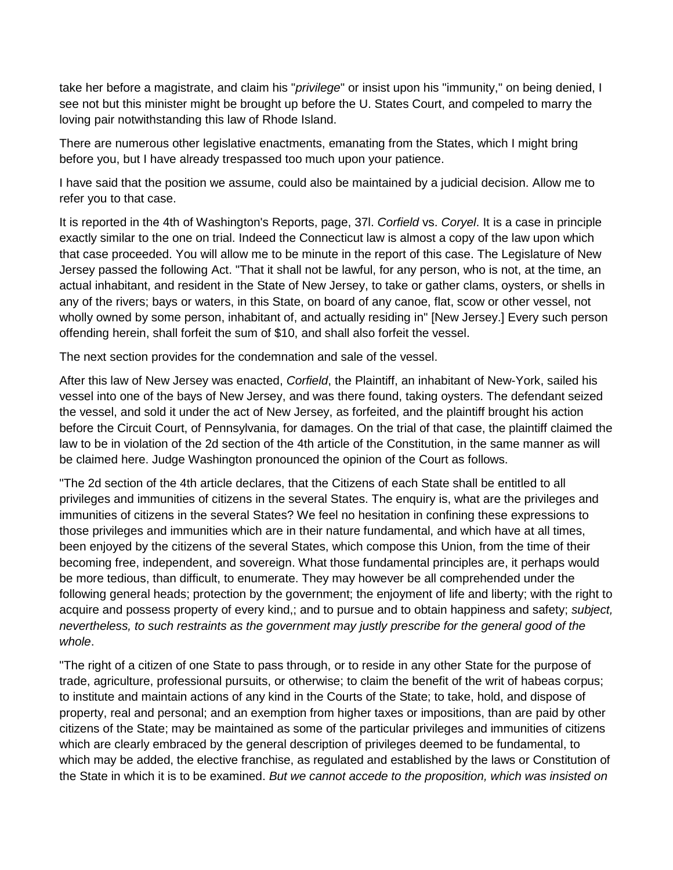take her before a magistrate, and claim his "*privilege*" or insist upon his "immunity," on being denied, I see not but this minister might be brought up before the U. States Court, and compeled to marry the loving pair notwithstanding this law of Rhode Island.

There are numerous other legislative enactments, emanating from the States, which I might bring before you, but I have already trespassed too much upon your patience.

I have said that the position we assume, could also be maintained by a judicial decision. Allow me to refer you to that case.

It is reported in the 4th of Washington's Reports, page, 37l. *Corfield* vs. *Coryel*. It is a case in principle exactly similar to the one on trial. Indeed the Connecticut law is almost a copy of the law upon which that case proceeded. You will allow me to be minute in the report of this case. The Legislature of New Jersey passed the following Act. "That it shall not be lawful, for any person, who is not, at the time, an actual inhabitant, and resident in the State of New Jersey, to take or gather clams, oysters, or shells in any of the rivers; bays or waters, in this State, on board of any canoe, flat, scow or other vessel, not wholly owned by some person, inhabitant of, and actually residing in" [New Jersey.] Every such person offending herein, shall forfeit the sum of \$10, and shall also forfeit the vessel.

The next section provides for the condemnation and sale of the vessel.

After this law of New Jersey was enacted, *Corfield*, the Plaintiff, an inhabitant of New-York, sailed his vessel into one of the bays of New Jersey, and was there found, taking oysters. The defendant seized the vessel, and sold it under the act of New Jersey, as forfeited, and the plaintiff brought his action before the Circuit Court, of Pennsylvania, for damages. On the trial of that case, the plaintiff claimed the law to be in violation of the 2d section of the 4th article of the Constitution, in the same manner as will be claimed here. Judge Washington pronounced the opinion of the Court as follows.

"The 2d section of the 4th article declares, that the Citizens of each State shall be entitled to all privileges and immunities of citizens in the several States. The enquiry is, what are the privileges and immunities of citizens in the several States? We feel no hesitation in confining these expressions to those privileges and immunities which are in their nature fundamental, and which have at all times, been enjoyed by the citizens of the several States, which compose this Union, from the time of their becoming free, independent, and sovereign. What those fundamental principles are, it perhaps would be more tedious, than difficult, to enumerate. They may however be all comprehended under the following general heads; protection by the government; the enjoyment of life and liberty; with the right to acquire and possess property of every kind,; and to pursue and to obtain happiness and safety; *subject, nevertheless, to such restraints as the government may justly prescribe for the general good of the whole*.

"The right of a citizen of one State to pass through, or to reside in any other State for the purpose of trade, agriculture, professional pursuits, or otherwise; to claim the benefit of the writ of habeas corpus; to institute and maintain actions of any kind in the Courts of the State; to take, hold, and dispose of property, real and personal; and an exemption from higher taxes or impositions, than are paid by other citizens of the State; may be maintained as some of the particular privileges and immunities of citizens which are clearly embraced by the general description of privileges deemed to be fundamental, to which may be added, the elective franchise, as regulated and established by the laws or Constitution of the State in which it is to be examined. *But we cannot accede to the proposition, which was insisted on*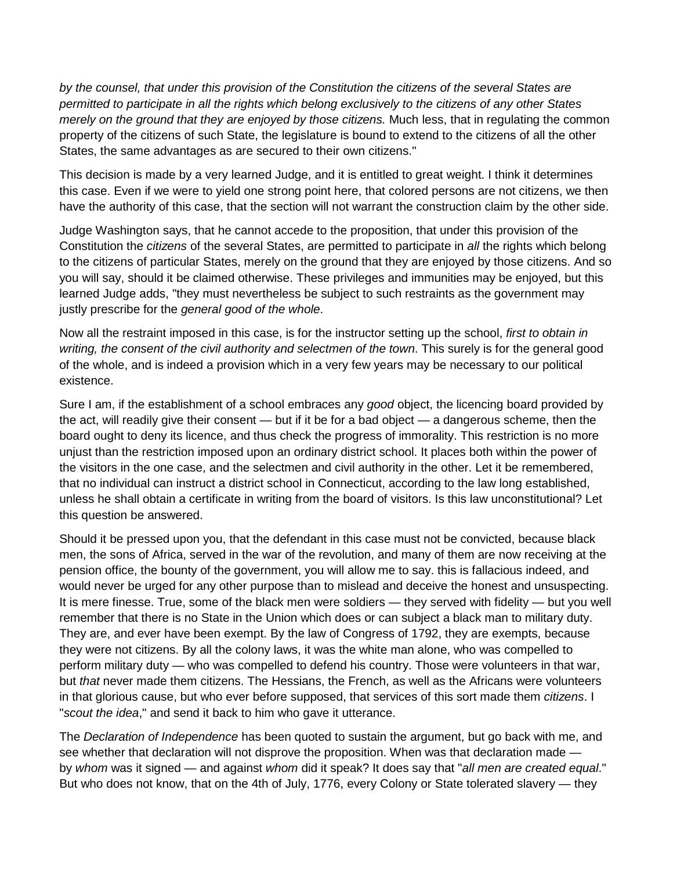*by the counsel, that under this provision of the Constitution the citizens of the several States are permitted to participate in all the rights which belong exclusively to the citizens of any other States merely on the ground that they are enjoyed by those citizens.* Much less, that in regulating the common property of the citizens of such State, the legislature is bound to extend to the citizens of all the other States, the same advantages as are secured to their own citizens."

This decision is made by a very learned Judge, and it is entitled to great weight. I think it determines this case. Even if we were to yield one strong point here, that colored persons are not citizens, we then have the authority of this case, that the section will not warrant the construction claim by the other side.

Judge Washington says, that he cannot accede to the proposition, that under this provision of the Constitution the *citizens* of the several States, are permitted to participate in *all* the rights which belong to the citizens of particular States, merely on the ground that they are enjoyed by those citizens. And so you will say, should it be claimed otherwise. These privileges and immunities may be enjoyed, but this learned Judge adds, "they must nevertheless be subject to such restraints as the government may justly prescribe for the *general good of the whole*.

Now all the restraint imposed in this case, is for the instructor setting up the school, *first to obtain in writing, the consent of the civil authority and selectmen of the town*. This surely is for the general good of the whole, and is indeed a provision which in a very few years may be necessary to our political existence.

Sure I am, if the establishment of a school embraces any *good* object, the licencing board provided by the act, will readily give their consent — but if it be for a bad object — a dangerous scheme, then the board ought to deny its licence, and thus check the progress of immorality. This restriction is no more unjust than the restriction imposed upon an ordinary district school. It places both within the power of the visitors in the one case, and the selectmen and civil authority in the other. Let it be remembered, that no individual can instruct a district school in Connecticut, according to the law long established, unless he shall obtain a certificate in writing from the board of visitors. Is this law unconstitutional? Let this question be answered.

Should it be pressed upon you, that the defendant in this case must not be convicted, because black men, the sons of Africa, served in the war of the revolution, and many of them are now receiving at the pension office, the bounty of the government, you will allow me to say. this is fallacious indeed, and would never be urged for any other purpose than to mislead and deceive the honest and unsuspecting. It is mere finesse. True, some of the black men were soldiers — they served with fidelity — but you well remember that there is no State in the Union which does or can subject a black man to military duty. They are, and ever have been exempt. By the law of Congress of 1792, they are exempts, because they were not citizens. By all the colony laws, it was the white man alone, who was compelled to perform military duty — who was compelled to defend his country. Those were volunteers in that war, but *that* never made them citizens. The Hessians, the French, as well as the Africans were volunteers in that glorious cause, but who ever before supposed, that services of this sort made them *citizens*. I "*scout the idea*," and send it back to him who gave it utterance.

The *Declaration of Independence* has been quoted to sustain the argument, but go back with me, and see whether that declaration will not disprove the proposition. When was that declaration made by *whom* was it signed — and against *whom* did it speak? It does say that "*all men are created equal*." But who does not know, that on the 4th of July, 1776, every Colony or State tolerated slavery — they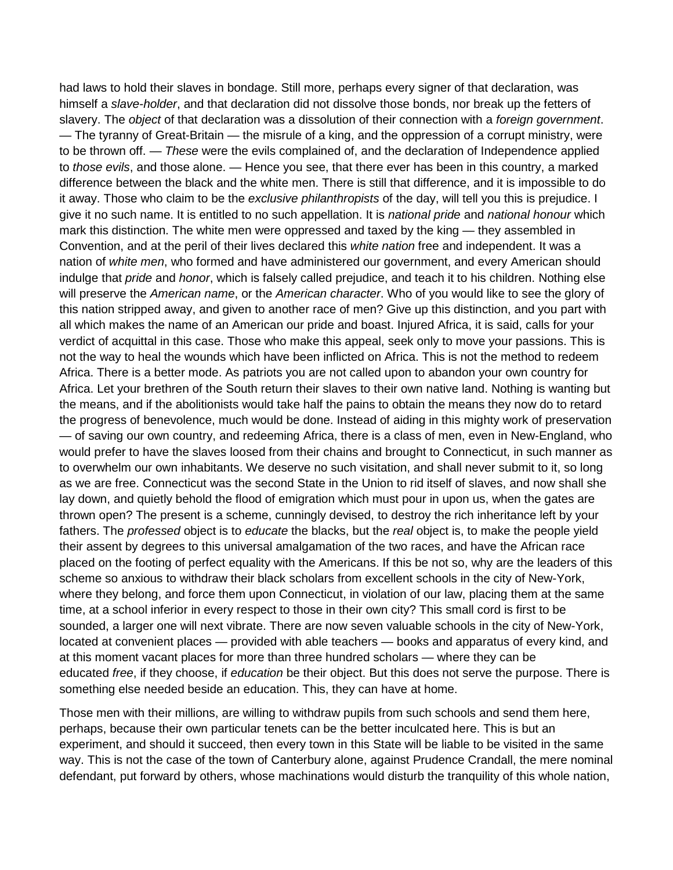had laws to hold their slaves in bondage. Still more, perhaps every signer of that declaration, was himself a *slave-holder*, and that declaration did not dissolve those bonds, nor break up the fetters of slavery. The *object* of that declaration was a dissolution of their connection with a *foreign government*. — The tyranny of Great-Britain — the misrule of a king, and the oppression of a corrupt ministry, were to be thrown off. — *These* were the evils complained of, and the declaration of Independence applied to *those evils*, and those alone. — Hence you see, that there ever has been in this country, a marked difference between the black and the white men. There is still that difference, and it is impossible to do it away. Those who claim to be the *exclusive philanthropists* of the day, will tell you this is prejudice. I give it no such name. It is entitled to no such appellation. It is *national pride* and *national honour* which mark this distinction. The white men were oppressed and taxed by the king — they assembled in Convention, and at the peril of their lives declared this *white nation* free and independent. It was a nation of *white men*, who formed and have administered our government, and every American should indulge that *pride* and *honor*, which is falsely called prejudice, and teach it to his children. Nothing else will preserve the *American name*, or the *American character*. Who of you would like to see the glory of this nation stripped away, and given to another race of men? Give up this distinction, and you part with all which makes the name of an American our pride and boast. Injured Africa, it is said, calls for your verdict of acquittal in this case. Those who make this appeal, seek only to move your passions. This is not the way to heal the wounds which have been inflicted on Africa. This is not the method to redeem Africa. There is a better mode. As patriots you are not called upon to abandon your own country for Africa. Let your brethren of the South return their slaves to their own native land. Nothing is wanting but the means, and if the abolitionists would take half the pains to obtain the means they now do to retard the progress of benevolence, much would be done. Instead of aiding in this mighty work of preservation — of saving our own country, and redeeming Africa, there is a class of men, even in New-England, who would prefer to have the slaves loosed from their chains and brought to Connecticut, in such manner as to overwhelm our own inhabitants. We deserve no such visitation, and shall never submit to it, so long as we are free. Connecticut was the second State in the Union to rid itself of slaves, and now shall she lay down, and quietly behold the flood of emigration which must pour in upon us, when the gates are thrown open? The present is a scheme, cunningly devised, to destroy the rich inheritance left by your fathers. The *professed* object is to *educate* the blacks, but the *real* object is, to make the people yield their assent by degrees to this universal amalgamation of the two races, and have the African race placed on the footing of perfect equality with the Americans. If this be not so, why are the leaders of this scheme so anxious to withdraw their black scholars from excellent schools in the city of New-York, where they belong, and force them upon Connecticut, in violation of our law, placing them at the same time, at a school inferior in every respect to those in their own city? This small cord is first to be sounded, a larger one will next vibrate. There are now seven valuable schools in the city of New-York, located at convenient places — provided with able teachers — books and apparatus of every kind, and at this moment vacant places for more than three hundred scholars — where they can be educated *free*, if they choose, if *education* be their object. But this does not serve the purpose. There is something else needed beside an education. This, they can have at home.

Those men with their millions, are willing to withdraw pupils from such schools and send them here, perhaps, because their own particular tenets can be the better inculcated here. This is but an experiment, and should it succeed, then every town in this State will be liable to be visited in the same way. This is not the case of the town of Canterbury alone, against Prudence Crandall, the mere nominal defendant, put forward by others, whose machinations would disturb the tranquility of this whole nation,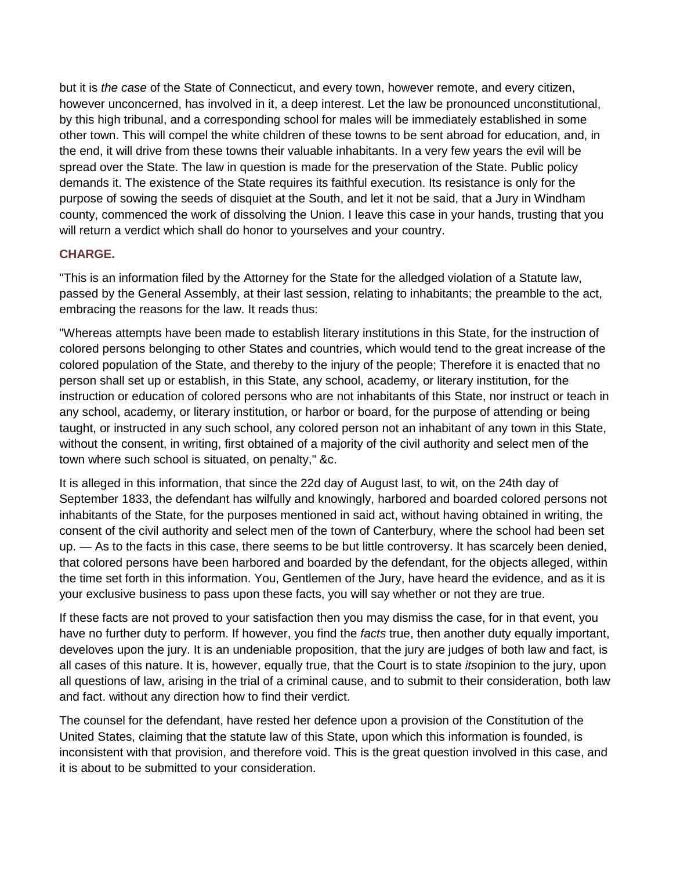but it is *the case* of the State of Connecticut, and every town, however remote, and every citizen, however unconcerned, has involved in it, a deep interest. Let the law be pronounced unconstitutional, by this high tribunal, and a corresponding school for males will be immediately established in some other town. This will compel the white children of these towns to be sent abroad for education, and, in the end, it will drive from these towns their valuable inhabitants. In a very few years the evil will be spread over the State. The law in question is made for the preservation of the State. Public policy demands it. The existence of the State requires its faithful execution. Its resistance is only for the purpose of sowing the seeds of disquiet at the South, and let it not be said, that a Jury in Windham county, commenced the work of dissolving the Union. I leave this case in your hands, trusting that you will return a verdict which shall do honor to yourselves and your country.

## **CHARGE.**

"This is an information filed by the Attorney for the State for the alledged violation of a Statute law, passed by the General Assembly, at their last session, relating to inhabitants; the preamble to the act, embracing the reasons for the law. It reads thus:

"Whereas attempts have been made to establish literary institutions in this State, for the instruction of colored persons belonging to other States and countries, which would tend to the great increase of the colored population of the State, and thereby to the injury of the people; Therefore it is enacted that no person shall set up or establish, in this State, any school, academy, or literary institution, for the instruction or education of colored persons who are not inhabitants of this State, nor instruct or teach in any school, academy, or literary institution, or harbor or board, for the purpose of attending or being taught, or instructed in any such school, any colored person not an inhabitant of any town in this State, without the consent, in writing, first obtained of a majority of the civil authority and select men of the town where such school is situated, on penalty," &c.

It is alleged in this information, that since the 22d day of August last, to wit, on the 24th day of September 1833, the defendant has wilfully and knowingly, harbored and boarded colored persons not inhabitants of the State, for the purposes mentioned in said act, without having obtained in writing, the consent of the civil authority and select men of the town of Canterbury, where the school had been set up. — As to the facts in this case, there seems to be but little controversy. It has scarcely been denied, that colored persons have been harbored and boarded by the defendant, for the objects alleged, within the time set forth in this information. You, Gentlemen of the Jury, have heard the evidence, and as it is your exclusive business to pass upon these facts, you will say whether or not they are true.

If these facts are not proved to your satisfaction then you may dismiss the case, for in that event, you have no further duty to perform. If however, you find the *facts* true, then another duty equally important, develoves upon the jury. It is an undeniable proposition, that the jury are judges of both law and fact, is all cases of this nature. It is, however, equally true, that the Court is to state *its*opinion to the jury, upon all questions of law, arising in the trial of a criminal cause, and to submit to their consideration, both law and fact. without any direction how to find their verdict.

The counsel for the defendant, have rested her defence upon a provision of the Constitution of the United States, claiming that the statute law of this State, upon which this information is founded, is inconsistent with that provision, and therefore void. This is the great question involved in this case, and it is about to be submitted to your consideration.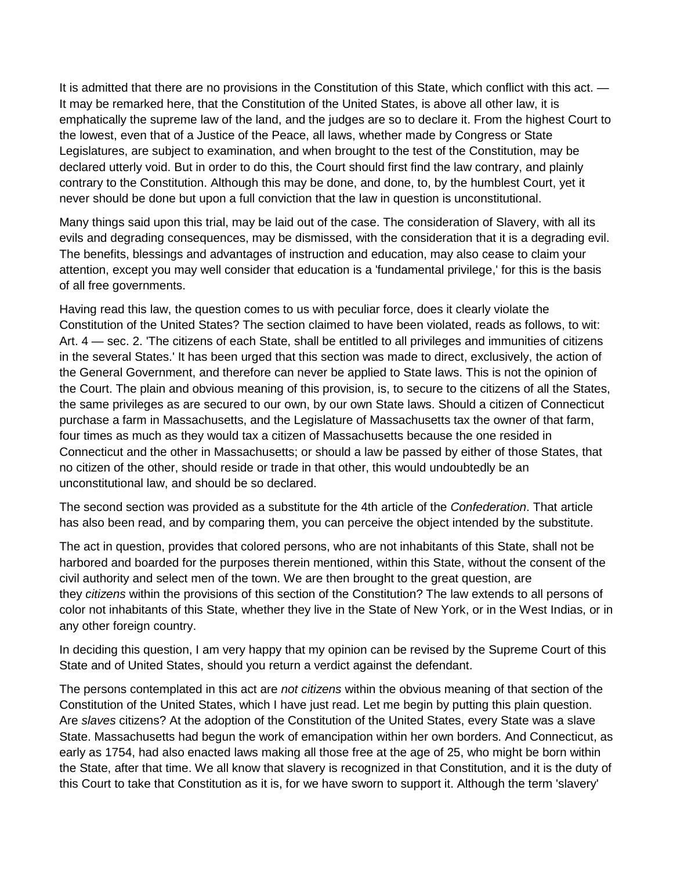It is admitted that there are no provisions in the Constitution of this State, which conflict with this act. — It may be remarked here, that the Constitution of the United States, is above all other law, it is emphatically the supreme law of the land, and the judges are so to declare it. From the highest Court to the lowest, even that of a Justice of the Peace, all laws, whether made by Congress or State Legislatures, are subject to examination, and when brought to the test of the Constitution, may be declared utterly void. But in order to do this, the Court should first find the law contrary, and plainly contrary to the Constitution. Although this may be done, and done, to, by the humblest Court, yet it never should be done but upon a full conviction that the law in question is unconstitutional.

Many things said upon this trial, may be laid out of the case. The consideration of Slavery, with all its evils and degrading consequences, may be dismissed, with the consideration that it is a degrading evil. The benefits, blessings and advantages of instruction and education, may also cease to claim your attention, except you may well consider that education is a 'fundamental privilege,' for this is the basis of all free governments.

Having read this law, the question comes to us with peculiar force, does it clearly violate the Constitution of the United States? The section claimed to have been violated, reads as follows, to wit: Art. 4 — sec. 2. 'The citizens of each State, shall be entitled to all privileges and immunities of citizens in the several States.' It has been urged that this section was made to direct, exclusively, the action of the General Government, and therefore can never be applied to State laws. This is not the opinion of the Court. The plain and obvious meaning of this provision, is, to secure to the citizens of all the States, the same privileges as are secured to our own, by our own State laws. Should a citizen of Connecticut purchase a farm in Massachusetts, and the Legislature of Massachusetts tax the owner of that farm, four times as much as they would tax a citizen of Massachusetts because the one resided in Connecticut and the other in Massachusetts; or should a law be passed by either of those States, that no citizen of the other, should reside or trade in that other, this would undoubtedly be an unconstitutional law, and should be so declared.

The second section was provided as a substitute for the 4th article of the *Confederation*. That article has also been read, and by comparing them, you can perceive the object intended by the substitute.

The act in question, provides that colored persons, who are not inhabitants of this State, shall not be harbored and boarded for the purposes therein mentioned, within this State, without the consent of the civil authority and select men of the town. We are then brought to the great question, are they *citizens* within the provisions of this section of the Constitution? The law extends to all persons of color not inhabitants of this State, whether they live in the State of New York, or in the West Indias, or in any other foreign country.

In deciding this question, I am very happy that my opinion can be revised by the Supreme Court of this State and of United States, should you return a verdict against the defendant.

The persons contemplated in this act are *not citizens* within the obvious meaning of that section of the Constitution of the United States, which I have just read. Let me begin by putting this plain question. Are *slaves* citizens? At the adoption of the Constitution of the United States, every State was a slave State. Massachusetts had begun the work of emancipation within her own borders. And Connecticut, as early as 1754, had also enacted laws making all those free at the age of 25, who might be born within the State, after that time. We all know that slavery is recognized in that Constitution, and it is the duty of this Court to take that Constitution as it is, for we have sworn to support it. Although the term 'slavery'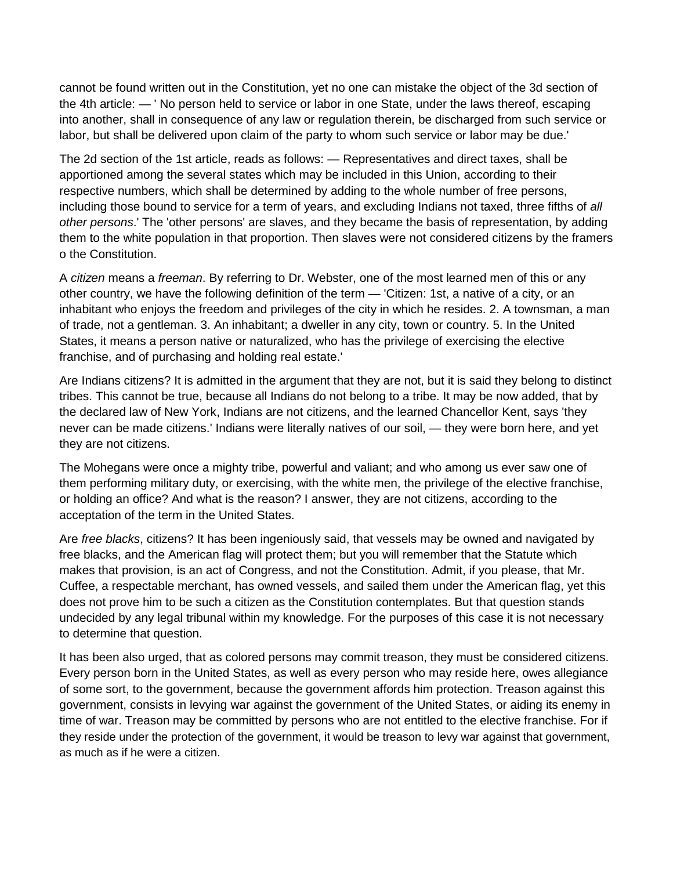cannot be found written out in the Constitution, yet no one can mistake the object of the 3d section of the 4th article: — ' No person held to service or labor in one State, under the laws thereof, escaping into another, shall in consequence of any law or regulation therein, be discharged from such service or labor, but shall be delivered upon claim of the party to whom such service or labor may be due.'

The 2d section of the 1st article, reads as follows: — Representatives and direct taxes, shall be apportioned among the several states which may be included in this Union, according to their respective numbers, which shall be determined by adding to the whole number of free persons, including those bound to service for a term of years, and excluding Indians not taxed, three fifths of *all other persons*.' The 'other persons' are slaves, and they became the basis of representation, by adding them to the white population in that proportion. Then slaves were not considered citizens by the framers o the Constitution.

A *citizen* means a *freeman*. By referring to Dr. Webster, one of the most learned men of this or any other country, we have the following definition of the term — 'Citizen: 1st, a native of a city, or an inhabitant who enjoys the freedom and privileges of the city in which he resides. 2. A townsman, a man of trade, not a gentleman. 3. An inhabitant; a dweller in any city, town or country. 5. In the United States, it means a person native or naturalized, who has the privilege of exercising the elective franchise, and of purchasing and holding real estate.'

Are Indians citizens? It is admitted in the argument that they are not, but it is said they belong to distinct tribes. This cannot be true, because all Indians do not belong to a tribe. It may be now added, that by the declared law of New York, Indians are not citizens, and the learned Chancellor Kent, says 'they never can be made citizens.' Indians were literally natives of our soil, — they were born here, and yet they are not citizens.

The Mohegans were once a mighty tribe, powerful and valiant; and who among us ever saw one of them performing military duty, or exercising, with the white men, the privilege of the elective franchise, or holding an office? And what is the reason? I answer, they are not citizens, according to the acceptation of the term in the United States.

Are *free blacks*, citizens? It has been ingeniously said, that vessels may be owned and navigated by free blacks, and the American flag will protect them; but you will remember that the Statute which makes that provision, is an act of Congress, and not the Constitution. Admit, if you please, that Mr. Cuffee, a respectable merchant, has owned vessels, and sailed them under the American flag, yet this does not prove him to be such a citizen as the Constitution contemplates. But that question stands undecided by any legal tribunal within my knowledge. For the purposes of this case it is not necessary to determine that question.

It has been also urged, that as colored persons may commit treason, they must be considered citizens. Every person born in the United States, as well as every person who may reside here, owes allegiance of some sort, to the government, because the government affords him protection. Treason against this government, consists in levying war against the government of the United States, or aiding its enemy in time of war. Treason may be committed by persons who are not entitled to the elective franchise. For if they reside under the protection of the government, it would be treason to levy war against that government, as much as if he were a citizen.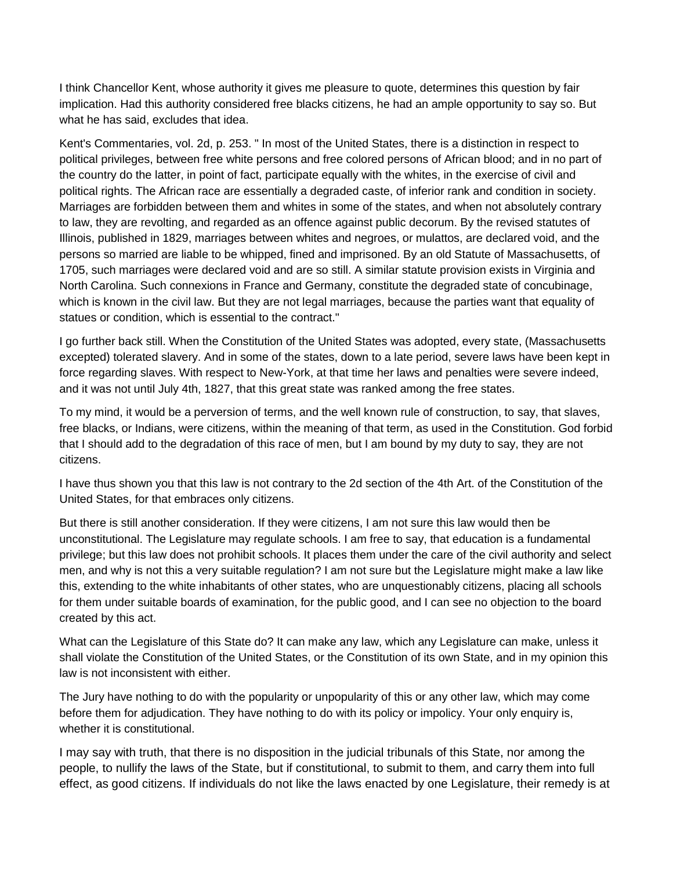I think Chancellor Kent, whose authority it gives me pleasure to quote, determines this question by fair implication. Had this authority considered free blacks citizens, he had an ample opportunity to say so. But what he has said, excludes that idea.

Kent's Commentaries, vol. 2d, p. 253. " In most of the United States, there is a distinction in respect to political privileges, between free white persons and free colored persons of African blood; and in no part of the country do the latter, in point of fact, participate equally with the whites, in the exercise of civil and political rights. The African race are essentially a degraded caste, of inferior rank and condition in society. Marriages are forbidden between them and whites in some of the states, and when not absolutely contrary to law, they are revolting, and regarded as an offence against public decorum. By the revised statutes of Illinois, published in 1829, marriages between whites and negroes, or mulattos, are declared void, and the persons so married are liable to be whipped, fined and imprisoned. By an old Statute of Massachusetts, of 1705, such marriages were declared void and are so still. A similar statute provision exists in Virginia and North Carolina. Such connexions in France and Germany, constitute the degraded state of concubinage, which is known in the civil law. But they are not legal marriages, because the parties want that equality of statues or condition, which is essential to the contract."

I go further back still. When the Constitution of the United States was adopted, every state, (Massachusetts excepted) tolerated slavery. And in some of the states, down to a late period, severe laws have been kept in force regarding slaves. With respect to New-York, at that time her laws and penalties were severe indeed, and it was not until July 4th, 1827, that this great state was ranked among the free states.

To my mind, it would be a perversion of terms, and the well known rule of construction, to say, that slaves, free blacks, or Indians, were citizens, within the meaning of that term, as used in the Constitution. God forbid that I should add to the degradation of this race of men, but I am bound by my duty to say, they are not citizens.

I have thus shown you that this law is not contrary to the 2d section of the 4th Art. of the Constitution of the United States, for that embraces only citizens.

But there is still another consideration. If they were citizens, I am not sure this law would then be unconstitutional. The Legislature may regulate schools. I am free to say, that education is a fundamental privilege; but this law does not prohibit schools. It places them under the care of the civil authority and select men, and why is not this a very suitable regulation? I am not sure but the Legislature might make a law like this, extending to the white inhabitants of other states, who are unquestionably citizens, placing all schools for them under suitable boards of examination, for the public good, and I can see no objection to the board created by this act.

What can the Legislature of this State do? It can make any law, which any Legislature can make, unless it shall violate the Constitution of the United States, or the Constitution of its own State, and in my opinion this law is not inconsistent with either.

The Jury have nothing to do with the popularity or unpopularity of this or any other law, which may come before them for adjudication. They have nothing to do with its policy or impolicy. Your only enquiry is, whether it is constitutional.

I may say with truth, that there is no disposition in the judicial tribunals of this State, nor among the people, to nullify the laws of the State, but if constitutional, to submit to them, and carry them into full effect, as good citizens. If individuals do not like the laws enacted by one Legislature, their remedy is at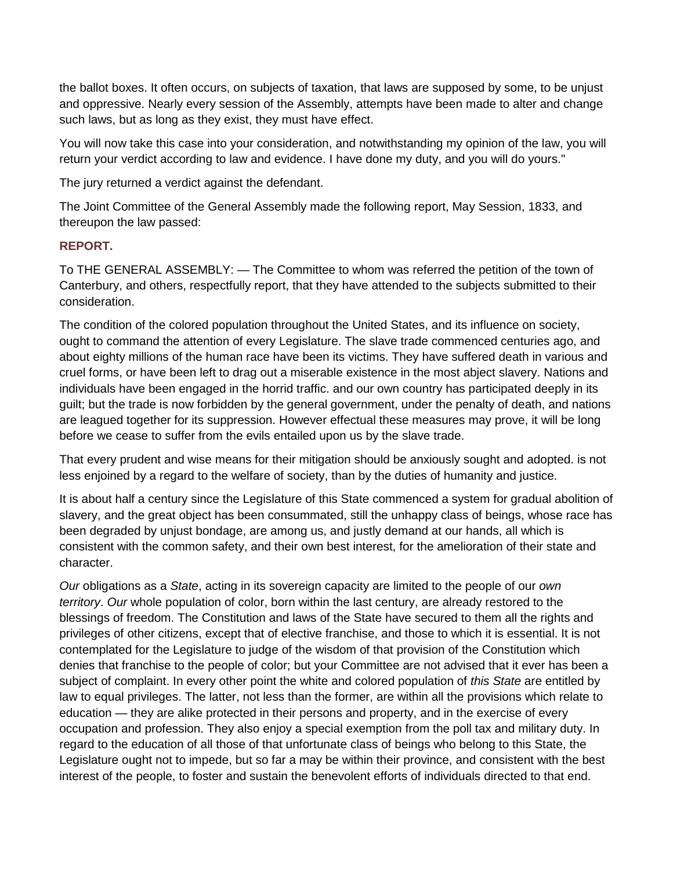the ballot boxes. It often occurs, on subjects of taxation, that laws are supposed by some, to be unjust and oppressive. Nearly every session of the Assembly, attempts have been made to alter and change such laws, but as long as they exist, they must have effect.

You will now take this case into your consideration, and notwithstanding my opinion of the law, you will return your verdict according to law and evidence. I have done my duty, and you will do yours."

The jury returned a verdict against the defendant.

The Joint Committee of the General Assembly made the following report, May Session, 1833, and thereupon the law passed:

## **REPORT.**

To THE GENERAL ASSEMBLY: — The Committee to whom was referred the petition of the town of Canterbury, and others, respectfully report, that they have attended to the subjects submitted to their consideration.

The condition of the colored population throughout the United States, and its influence on society, ought to command the attention of every Legislature. The slave trade commenced centuries ago, and about eighty millions of the human race have been its victims. They have suffered death in various and cruel forms, or have been left to drag out a miserable existence in the most abject slavery. Nations and individuals have been engaged in the horrid traffic. and our own country has participated deeply in its guilt; but the trade is now forbidden by the general government, under the penalty of death, and nations are leagued together for its suppression. However effectual these measures may prove, it will be long before we cease to suffer from the evils entailed upon us by the slave trade.

That every prudent and wise means for their mitigation should be anxiously sought and adopted. is not less enjoined by a regard to the welfare of society, than by the duties of humanity and justice.

It is about half a century since the Legislature of this State commenced a system for gradual abolition of slavery, and the great object has been consummated, still the unhappy class of beings, whose race has been degraded by unjust bondage, are among us, and justly demand at our hands, all which is consistent with the common safety, and their own best interest, for the amelioration of their state and character.

*Our* obligations as a *State*, acting in its sovereign capacity are limited to the people of our *own territory*. *Our* whole population of color, born within the last century, are already restored to the blessings of freedom. The Constitution and laws of the State have secured to them all the rights and privileges of other citizens, except that of elective franchise, and those to which it is essential. It is not contemplated for the Legislature to judge of the wisdom of that provision of the Constitution which denies that franchise to the people of color; but your Committee are not advised that it ever has been a subject of complaint. In every other point the white and colored population of *this State* are entitled by law to equal privileges. The latter, not less than the former, are within all the provisions which relate to education — they are alike protected in their persons and property, and in the exercise of every occupation and profession. They also enjoy a special exemption from the poll tax and military duty. In regard to the education of all those of that unfortunate class of beings who belong to this State, the Legislature ought not to impede, but so far a may be within their province, and consistent with the best interest of the people, to foster and sustain the benevolent efforts of individuals directed to that end.